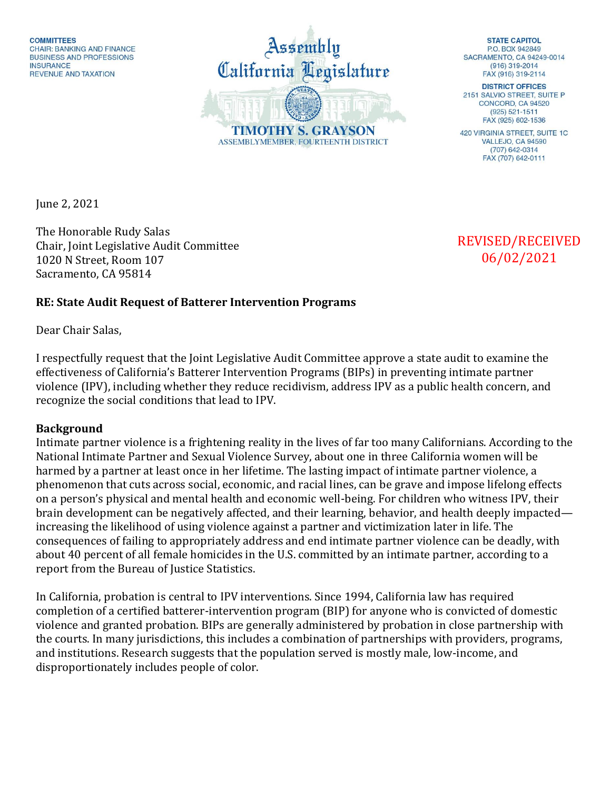Assembly California Legislature **TIMOTHY S. GRAYSON** ASSEMBLYMEMBER, FOURTEENTH DISTRICT

**STATE CAPITOL** PO BOX 942849 SACRAMENTO, CA 94249-0014  $(916)$  319-2014 FAX (916) 319-2114

**DISTRICT OFFICES** 2151 SALVIO STREET, SUITE P CONCORD, CA 94520  $(925) 521 - 1511$ FAX (925) 602-1536

**420 VIRGINIA STREET, SUITE 1C** VALLEJO, CA 94590 (707) 642-0314 FAX (707) 642-0111

June 2, 2021

The Honorable Rudy Salas Chair, Joint Legislative Audit Committee 1020 N Street, Room 107 Sacramento, CA 95814

REVISED/RECEIVED 06/02/2021

## **RE: State Audit Request of Batterer Intervention Programs**

Dear Chair Salas,

I respectfully request that the Joint Legislative Audit Committee approve a state audit to examine the effectiveness of California's Batterer Intervention Programs (BIPs) in preventing intimate partner violence (IPV), including whether they reduce recidivism, address IPV as a public health concern, and recognize the social conditions that lead to IPV.

## **Background**

Intimate partner violence is a frightening reality in the lives of far too many Californians. According to the National Intimate Partner and Sexual Violence Survey, about one in three California women will be harmed by a partner at least once in her lifetime. The lasting impact of intimate partner violence, a phenomenon that cuts across social, economic, and racial lines, can be grave and impose lifelong effects on a person's physical and mental health and economic well-being. For children who witness IPV, their brain development can be negatively affected, and their learning, behavior, and health deeply impacted increasing the likelihood of using violence against a partner and victimization later in life. The consequences of failing to appropriately address and end intimate partner violence can be deadly, with about 40 percent of all female homicides in the U.S. committed by an intimate partner, according to a report from the Bureau of Justice Statistics.

In California, probation is central to IPV interventions. Since 1994, California law has required completion of a certified batterer-intervention program (BIP) for anyone who is convicted of domestic violence and granted probation. BIPs are generally administered by probation in close partnership with the courts. In many jurisdictions, this includes a combination of partnerships with providers, programs, and institutions. Research suggests that the population served is mostly male, low-income, and disproportionately includes people of color.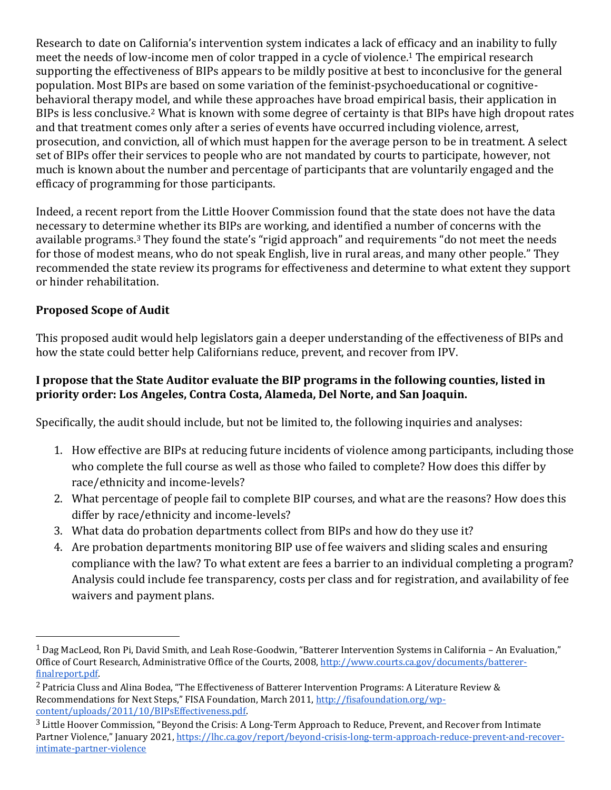Research to date on California's intervention system indicates a lack of efficacy and an inability to fully meet the needs of low-income men of color trapped in a cycle of violence.<sup>1</sup> The empirical research supporting the effectiveness of BIPs appears to be mildly positive at best to inconclusive for the general population. Most BIPs are based on some variation of the feminist-psychoeducational or cognitivebehavioral therapy model, and while these approaches have broad empirical basis, their application in BIPs is less conclusive.<sup>2</sup> What is known with some degree of certainty is that BIPs have high dropout rates and that treatment comes only after a series of events have occurred including violence, arrest, prosecution, and conviction, all of which must happen for the average person to be in treatment. A select set of BIPs offer their services to people who are not mandated by courts to participate, however, not much is known about the number and percentage of participants that are voluntarily engaged and the efficacy of programming for those participants.

Indeed, a recent report from the Little Hoover Commission found that the state does not have the data necessary to determine whether its BIPs are working, and identified a number of concerns with the available programs.<sup>3</sup> They found the state's "rigid approach" and requirements "do not meet the needs for those of modest means, who do not speak English, live in rural areas, and many other people." They recommended the state review its programs for effectiveness and determine to what extent they support or hinder rehabilitation.

## **Proposed Scope of Audit**

 $\overline{a}$ 

This proposed audit would help legislators gain a deeper understanding of the effectiveness of BIPs and how the state could better help Californians reduce, prevent, and recover from IPV.

## **I propose that the State Auditor evaluate the BIP programs in the following counties, listed in priority order: Los Angeles, Contra Costa, Alameda, Del Norte, and San Joaquin.**

Specifically, the audit should include, but not be limited to, the following inquiries and analyses:

- 1. How effective are BIPs at reducing future incidents of violence among participants, including those who complete the full course as well as those who failed to complete? How does this differ by race/ethnicity and income-levels?
- 2. What percentage of people fail to complete BIP courses, and what are the reasons? How does this differ by race/ethnicity and income-levels?
- 3. What data do probation departments collect from BIPs and how do they use it?
- 4. Are probation departments monitoring BIP use of fee waivers and sliding scales and ensuring compliance with the law? To what extent are fees a barrier to an individual completing a program? Analysis could include fee transparency, costs per class and for registration, and availability of fee waivers and payment plans.

 $1$  Dag MacLeod, Ron Pi, David Smith, and Leah Rose-Goodwin, "Batterer Intervention Systems in California – An Evaluation," Office of Court Research, Administrative Office of the Courts, 2008[, http://www.courts.ca.gov/documents/batterer](http://www.courts.ca.gov/documents/batterer-finalreport.pdf)[finalreport.pdf.](http://www.courts.ca.gov/documents/batterer-finalreport.pdf) 

<sup>2</sup> Patricia Cluss and Alina Bodea, "The Effectiveness of Batterer Intervention Programs: A Literature Review & Recommendations for Next Steps," FISA Foundation, March 2011, [http://fisafoundation.org/wp](http://fisafoundation.org/wp-content/uploads/2011/10/BIPsEffectiveness.pdf)[content/uploads/2011/10/BIPsEffectiveness.pdf.](http://fisafoundation.org/wp-content/uploads/2011/10/BIPsEffectiveness.pdf) 

<sup>&</sup>lt;sup>3</sup> Little Hoover Commission, "Beyond the Crisis: A Long-Term Approach to Reduce, Prevent, and Recover from Intimate Partner Violence," January 2021, [https://lhc.ca.gov/report/beyond-crisis-long-term-approach-reduce-prevent-and-recover](https://lhc.ca.gov/report/beyond-crisis-long-term-approach-reduce-prevent-and-recover-intimate-partner-violence)[intimate-partner-violence](https://lhc.ca.gov/report/beyond-crisis-long-term-approach-reduce-prevent-and-recover-intimate-partner-violence)